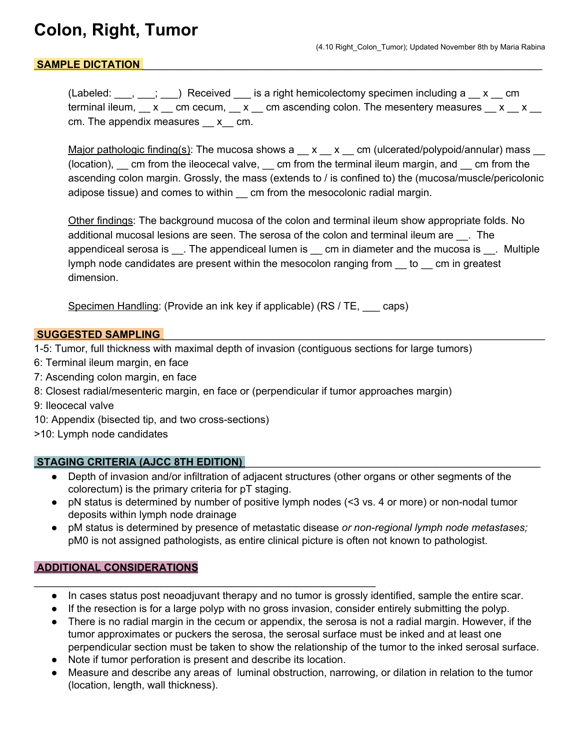## **Colon, Right, Tumor**

## SAMPLE DICTATION

(Labeled:  $\Box$ ,  $\Box$ ;  $\Box$ ) Received  $\Box$  is a right hemicolectomy specimen including a  $\Box$  x  $\Box$  cm terminal ileum,  $\_\ x$  cm cecum,  $\_\ x$  cm ascending colon. The mesentery measures  $\_\ x$   $\_\ x$ cm. The appendix measures x cm.

Major pathologic finding(s): The mucosa shows  $a \_\ x \_\ x \_\ cm$  (ulcerated/polypoid/annular) mass  $\_\_$ (location), \_\_ cm from the ileocecal valve, \_\_ cm from the terminal ileum margin, and \_\_ cm from the ascending colon margin. Grossly, the mass (extends to / is confined to) the (mucosa/muscle/pericolonic adipose tissue) and comes to within \_\_ cm from the mesocolonic radial margin.

Other findings: The background mucosa of the colon and terminal ileum show appropriate folds. No additional mucosal lesions are seen. The serosa of the colon and terminal ileum are \_\_\_. The appendiceal serosa is \_\_\_. The appendiceal lumen is \_\_\_ cm in diameter and the mucosa is \_\_\_. Multiple lymph node candidates are present within the mesocolon ranging from \_\_ to \_\_ cm in greatest dimension.

Specimen Handling: (Provide an ink key if applicable) (RS / TE, \_\_\_ caps)

#### **SUGGESTED SAMPLING**

- 1-5: Tumor, full thickness with maximal depth of invasion (contiguous sections for large tumors)
- 6: Terminal ileum margin, en face
- 7: Ascending colon margin, en face
- 8: Closest radial/mesenteric margin, en face or (perpendicular if tumor approaches margin)
- 9: Ileocecal valve
- 10: Appendix (bisected tip, and two cross-sections)

>10: Lymph node candidates

#### **STAGING CRITERIA (AJCC 8TH EDITION)** \_\_\_\_\_\_\_\_\_\_\_\_\_\_\_\_\_\_\_\_\_\_\_\_\_\_\_\_\_\_\_\_\_\_\_\_\_\_\_\_\_\_\_\_\_\_\_\_\_\_\_

- Depth of invasion and/or infiltration of adjacent structures (other organs or other segments of the colorectum) is the primary criteria for pT staging.
- pN status is determined by number of positive lymph nodes (<3 vs. 4 or more) or non-nodal tumor deposits within lymph node drainage
- pM status is determined by presence of metastatic disease *or non-regional lymph node metastases;* pM0 is not assigned pathologists, as entire clinical picture is often not known to pathologist.

## **ADDITIONAL CONSIDERATIONS**

- In cases status post neoadjuvant therapy and no tumor is grossly identified, sample the entire scar.
- If the resection is for a large polyp with no gross invasion, consider entirely submitting the polyp.
- There is no radial margin in the cecum or appendix, the serosa is not a radial margin. However, if the tumor approximates or puckers the serosa, the serosal surface must be inked and at least one perpendicular section must be taken to show the relationship of the tumor to the inked serosal surface.
- Note if tumor perforation is present and describe its location.

\_\_\_\_\_\_\_\_\_\_\_\_\_\_\_\_\_\_\_\_\_\_\_\_\_\_\_\_\_\_\_\_\_\_\_\_\_\_\_\_\_\_\_\_\_\_\_\_\_\_\_\_\_\_\_\_\_\_\_

Measure and describe any areas of luminal obstruction, narrowing, or dilation in relation to the tumor (location, length, wall thickness).